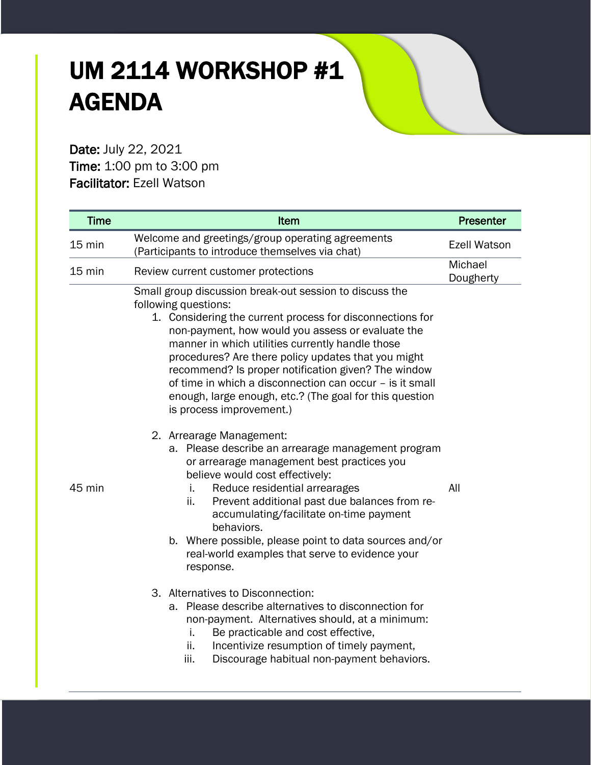## UM 2114 WORKSHOP #1 AGENDA

Date: July 22, 2021 Time: 1:00 pm to 3:00 pm Facilitator: Ezell Watson

| <b>Time</b>      | Item                                                                                                                                                                                                                                                                                                                                                                                                                                                                                                                                                                                                                                                                                                                                                                                                                                                                                                                                                                        | <b>Presenter</b>     |
|------------------|-----------------------------------------------------------------------------------------------------------------------------------------------------------------------------------------------------------------------------------------------------------------------------------------------------------------------------------------------------------------------------------------------------------------------------------------------------------------------------------------------------------------------------------------------------------------------------------------------------------------------------------------------------------------------------------------------------------------------------------------------------------------------------------------------------------------------------------------------------------------------------------------------------------------------------------------------------------------------------|----------------------|
| 15 min           | Welcome and greetings/group operating agreements<br>(Participants to introduce themselves via chat)                                                                                                                                                                                                                                                                                                                                                                                                                                                                                                                                                                                                                                                                                                                                                                                                                                                                         | <b>Ezell Watson</b>  |
| $15 \text{ min}$ | Review current customer protections                                                                                                                                                                                                                                                                                                                                                                                                                                                                                                                                                                                                                                                                                                                                                                                                                                                                                                                                         | Michael<br>Dougherty |
| 45 min           | Small group discussion break-out session to discuss the<br>following questions:<br>1. Considering the current process for disconnections for<br>non-payment, how would you assess or evaluate the<br>manner in which utilities currently handle those<br>procedures? Are there policy updates that you might<br>recommend? Is proper notification given? The window<br>of time in which a disconnection can occur - is it small<br>enough, large enough, etc.? (The goal for this question<br>is process improvement.)<br>2. Arrearage Management:<br>a. Please describe an arrearage management program<br>or arrearage management best practices you<br>believe would cost effectively:<br>Reduce residential arrearages<br>i.<br>Prevent additional past due balances from re-<br>ii.<br>accumulating/facilitate on-time payment<br>behaviors.<br>b. Where possible, please point to data sources and/or<br>real-world examples that serve to evidence your<br>response. | All                  |
|                  | 3. Alternatives to Disconnection:<br>a. Please describe alternatives to disconnection for<br>non-payment. Alternatives should, at a minimum:<br>Be practicable and cost effective,<br>j.<br>Incentivize resumption of timely payment,<br>ii.<br>Discourage habitual non-payment behaviors.<br>iii.                                                                                                                                                                                                                                                                                                                                                                                                                                                                                                                                                                                                                                                                          |                      |